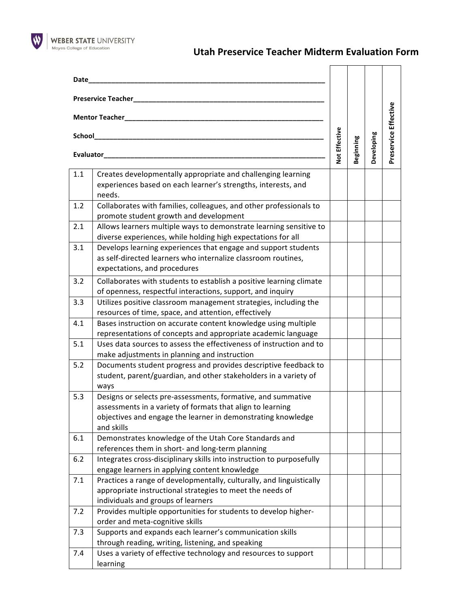

 $\overline{a}$ 

 $\overline{\phantom{0}}$ 

 $\overline{\phantom{a}}$ 

| Date                                                                 |                                                                                                                                                                                                          |               | Beginning | Developing | Preservice Effective |     |                                                                                                                                                                 |  |  |  |  |
|----------------------------------------------------------------------|----------------------------------------------------------------------------------------------------------------------------------------------------------------------------------------------------------|---------------|-----------|------------|----------------------|-----|-----------------------------------------------------------------------------------------------------------------------------------------------------------------|--|--|--|--|
| <b>Preservice Teacher_</b><br>Mentor Teacher<br>School_<br>Evaluator |                                                                                                                                                                                                          | Not Effective |           |            |                      |     |                                                                                                                                                                 |  |  |  |  |
|                                                                      |                                                                                                                                                                                                          |               |           |            |                      | 1.1 | Creates developmentally appropriate and challenging learning<br>experiences based on each learner's strengths, interests, and<br>needs.                         |  |  |  |  |
|                                                                      |                                                                                                                                                                                                          |               |           |            |                      | 1.2 | Collaborates with families, colleagues, and other professionals to<br>promote student growth and development                                                    |  |  |  |  |
|                                                                      |                                                                                                                                                                                                          |               |           |            |                      | 2.1 | Allows learners multiple ways to demonstrate learning sensitive to<br>diverse experiences, while holding high expectations for all                              |  |  |  |  |
|                                                                      |                                                                                                                                                                                                          |               |           |            |                      | 3.1 | Develops learning experiences that engage and support students<br>as self-directed learners who internalize classroom routines,<br>expectations, and procedures |  |  |  |  |
| 3.2                                                                  | Collaborates with students to establish a positive learning climate<br>of openness, respectful interactions, support, and inquiry                                                                        |               |           |            |                      |     |                                                                                                                                                                 |  |  |  |  |
| 3.3                                                                  | Utilizes positive classroom management strategies, including the<br>resources of time, space, and attention, effectively                                                                                 |               |           |            |                      |     |                                                                                                                                                                 |  |  |  |  |
| 4.1                                                                  | Bases instruction on accurate content knowledge using multiple<br>representations of concepts and appropriate academic language                                                                          |               |           |            |                      |     |                                                                                                                                                                 |  |  |  |  |
| 5.1                                                                  | Uses data sources to assess the effectiveness of instruction and to<br>make adjustments in planning and instruction                                                                                      |               |           |            |                      |     |                                                                                                                                                                 |  |  |  |  |
| 5.2                                                                  | Documents student progress and provides descriptive feedback to<br>student, parent/guardian, and other stakeholders in a variety of<br>ways                                                              |               |           |            |                      |     |                                                                                                                                                                 |  |  |  |  |
| 5.3                                                                  | Designs or selects pre-assessments, formative, and summative<br>assessments in a variety of formats that align to learning<br>objectives and engage the learner in demonstrating knowledge<br>and skills |               |           |            |                      |     |                                                                                                                                                                 |  |  |  |  |
| 6.1                                                                  | Demonstrates knowledge of the Utah Core Standards and<br>references them in short- and long-term planning                                                                                                |               |           |            |                      |     |                                                                                                                                                                 |  |  |  |  |
| $6.2$                                                                | Integrates cross-disciplinary skills into instruction to purposefully<br>engage learners in applying content knowledge                                                                                   |               |           |            |                      |     |                                                                                                                                                                 |  |  |  |  |
| 7.1                                                                  | Practices a range of developmentally, culturally, and linguistically<br>appropriate instructional strategies to meet the needs of<br>individuals and groups of learners                                  |               |           |            |                      |     |                                                                                                                                                                 |  |  |  |  |
| 7.2                                                                  | Provides multiple opportunities for students to develop higher-<br>order and meta-cognitive skills                                                                                                       |               |           |            |                      |     |                                                                                                                                                                 |  |  |  |  |
| 7.3                                                                  | Supports and expands each learner's communication skills<br>through reading, writing, listening, and speaking                                                                                            |               |           |            |                      |     |                                                                                                                                                                 |  |  |  |  |
| 7.4                                                                  | Uses a variety of effective technology and resources to support<br>learning                                                                                                                              |               |           |            |                      |     |                                                                                                                                                                 |  |  |  |  |